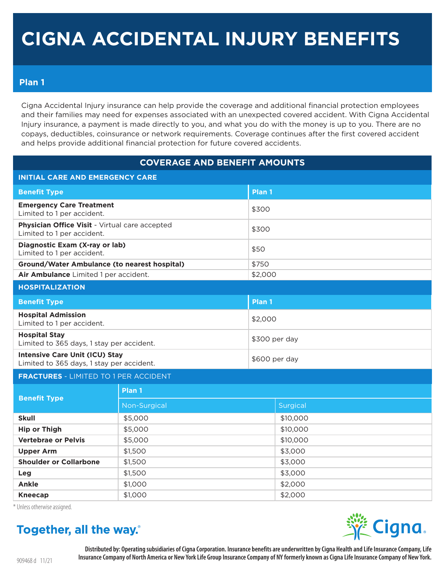# CIGNA ACCIDENTAL INJURY BENEFITS

## Plan 1

Cigna Accidental Injury insurance can help provide the coverage and additional financial protection employees and their families may need for expenses associated with an unexpected covered accident. With Cigna Accidental Injury insurance, a payment is made directly to you, and what you do with the money is up to you. There are no copays, deductibles, coinsurance or network requirements. Coverage continues after the first covered accident and helps provide additional financial protection for future covered accidents.

| <b>COVERAGE AND BENEFIT AMOUNTS</b>                                                |              |                   |          |  |  |
|------------------------------------------------------------------------------------|--------------|-------------------|----------|--|--|
| <b>INITIAL CARE AND EMERGENCY CARE</b>                                             |              |                   |          |  |  |
| <b>Benefit Type</b>                                                                |              | Plan 1            |          |  |  |
| <b>Emergency Care Treatment</b><br>Limited to 1 per accident.                      |              | \$300             |          |  |  |
| Physician Office Visit - Virtual care accepted<br>Limited to 1 per accident.       |              | \$300             |          |  |  |
| Diagnostic Exam (X-ray or lab)<br>Limited to 1 per accident.                       |              | \$50              |          |  |  |
| <b>Ground/Water Ambulance (to nearest hospital)</b>                                |              | \$750             |          |  |  |
| Air Ambulance Limited 1 per accident.                                              |              | \$2,000           |          |  |  |
| <b>HOSPITALIZATION</b>                                                             |              |                   |          |  |  |
| <b>Benefit Type</b>                                                                |              | Plan <sub>1</sub> |          |  |  |
| <b>Hospital Admission</b><br>Limited to 1 per accident.                            |              | \$2,000           |          |  |  |
| <b>Hospital Stay</b><br>Limited to 365 days, 1 stay per accident.                  |              | \$300 per day     |          |  |  |
| <b>Intensive Care Unit (ICU) Stay</b><br>Limited to 365 days, 1 stay per accident. |              | \$600 per day     |          |  |  |
| <b>FRACTURES - LIMITED TO 1 PER ACCIDENT</b>                                       |              |                   |          |  |  |
| <b>Benefit Type</b>                                                                | Plan 1       |                   |          |  |  |
|                                                                                    | Non-Surgical |                   | Surgical |  |  |
| <b>Skull</b>                                                                       | \$5,000      |                   | \$10,000 |  |  |
| <b>Hip or Thigh</b>                                                                | \$5,000      |                   | \$10,000 |  |  |
| <b>Vertebrae or Pelvis</b>                                                         | \$5,000      |                   | \$10,000 |  |  |
| <b>Upper Arm</b>                                                                   | \$1,500      |                   | \$3,000  |  |  |
| <b>Shoulder or Collarbone</b>                                                      | \$1,500      |                   | \$3,000  |  |  |
| Leg                                                                                | \$1,500      |                   | \$3,000  |  |  |
| <b>Ankle</b>                                                                       | \$1,000      |                   | \$2,000  |  |  |
| <b>Kneecap</b>                                                                     | \$1,000      |                   | \$2,000  |  |  |

\* Unless otherwise assigned.

# Together, all the way.

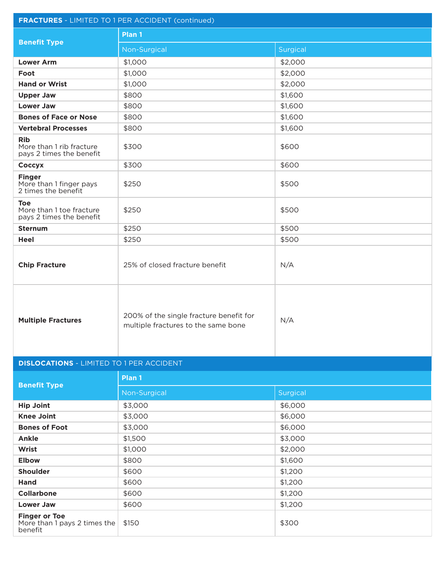| <b>FRACTURES</b> - LIMITED TO 1 PER ACCIDENT (continued)           |                                                                                |          |  |  |  |
|--------------------------------------------------------------------|--------------------------------------------------------------------------------|----------|--|--|--|
|                                                                    | Plan 1                                                                         |          |  |  |  |
| <b>Benefit Type</b>                                                | Non-Surgical                                                                   | Surgical |  |  |  |
| <b>Lower Arm</b>                                                   | \$1,000                                                                        | \$2,000  |  |  |  |
| Foot                                                               | \$1,000                                                                        | \$2,000  |  |  |  |
| <b>Hand or Wrist</b>                                               | \$1,000                                                                        | \$2,000  |  |  |  |
| <b>Upper Jaw</b>                                                   | \$800                                                                          | \$1,600  |  |  |  |
| <b>Lower Jaw</b>                                                   | \$800                                                                          | \$1,600  |  |  |  |
| <b>Bones of Face or Nose</b>                                       | \$800                                                                          | \$1,600  |  |  |  |
| <b>Vertebral Processes</b>                                         | \$800                                                                          | \$1,600  |  |  |  |
| <b>Rib</b><br>More than 1 rib fracture<br>pays 2 times the benefit | \$300                                                                          | \$600    |  |  |  |
| Coccyx                                                             | \$300                                                                          | \$600    |  |  |  |
| <b>Finger</b><br>More than 1 finger pays<br>2 times the benefit    | \$250                                                                          | \$500    |  |  |  |
| <b>Toe</b><br>More than 1 toe fracture<br>pays 2 times the benefit | \$250                                                                          | \$500    |  |  |  |
| <b>Sternum</b>                                                     | \$250                                                                          | \$500    |  |  |  |
| <b>Heel</b>                                                        | \$250                                                                          | \$500    |  |  |  |
| <b>Chip Fracture</b>                                               | 25% of closed fracture benefit                                                 | N/A      |  |  |  |
| <b>Multiple Fractures</b>                                          | 200% of the single fracture benefit for<br>multiple fractures to the same bone | N/A      |  |  |  |
| <b>DISLOCATIONS - LIMITED TO 1 PER ACCIDENT</b>                    |                                                                                |          |  |  |  |
|                                                                    | Plan 1                                                                         |          |  |  |  |
| <b>Benefit Type</b>                                                | Non-Surgical                                                                   | Surgical |  |  |  |
| <b>Hip Joint</b>                                                   | \$3,000                                                                        | \$6,000  |  |  |  |
| <b>Knee Joint</b>                                                  | \$3,000                                                                        | \$6,000  |  |  |  |
| <b>Bones of Foot</b>                                               | \$3,000                                                                        | \$6,000  |  |  |  |
| <b>Ankle</b>                                                       | \$1,500                                                                        | \$3,000  |  |  |  |
| Wrist                                                              | \$1,000                                                                        | \$2,000  |  |  |  |
| <b>Elbow</b>                                                       | \$800                                                                          | \$1,600  |  |  |  |
| <b>Shoulder</b>                                                    | \$600                                                                          | \$1,200  |  |  |  |
| <b>Hand</b>                                                        | \$600                                                                          | \$1,200  |  |  |  |
| <b>Collarbone</b>                                                  | \$600                                                                          | \$1,200  |  |  |  |
| <b>Lower Jaw</b>                                                   | \$600                                                                          | \$1,200  |  |  |  |
| <b>Finger or Toe</b><br>More than 1 pays 2 times the<br>benefit    | \$150                                                                          | \$300    |  |  |  |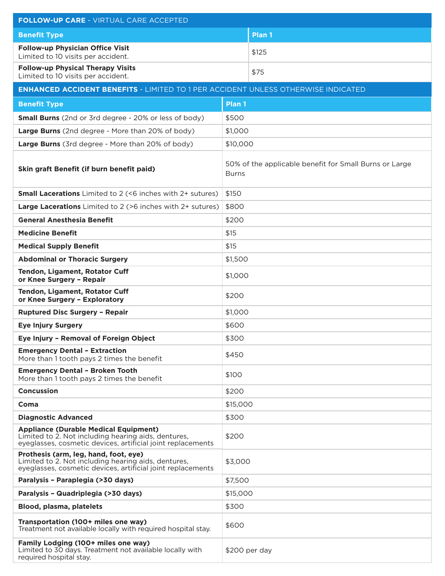| <b>FOLLOW-UP CARE - VIRTUAL CARE ACCEPTED</b>                                                                                                                      |        |                                                                        |  |  |  |
|--------------------------------------------------------------------------------------------------------------------------------------------------------------------|--------|------------------------------------------------------------------------|--|--|--|
| <b>Benefit Type</b>                                                                                                                                                |        | Plan 1                                                                 |  |  |  |
| <b>Follow-up Physician Office Visit</b><br>Limited to 10 visits per accident.                                                                                      |        | \$125                                                                  |  |  |  |
| <b>Follow-up Physical Therapy Visits</b><br>Limited to 10 visits per accident.                                                                                     |        | \$75                                                                   |  |  |  |
| <b>ENHANCED ACCIDENT BENEFITS - LIMITED TO 1 PER ACCIDENT UNLESS OTHERWISE INDICATED</b>                                                                           |        |                                                                        |  |  |  |
| <b>Benefit Type</b>                                                                                                                                                | Plan 1 |                                                                        |  |  |  |
| <b>Small Burns</b> (2nd or 3rd degree - 20% or less of body)                                                                                                       |        | \$500                                                                  |  |  |  |
| Large Burns (2nd degree - More than 20% of body)                                                                                                                   |        | \$1,000                                                                |  |  |  |
| Large Burns (3rd degree - More than 20% of body)                                                                                                                   |        | \$10,000                                                               |  |  |  |
| Skin graft Benefit (if burn benefit paid)                                                                                                                          |        | 50% of the applicable benefit for Small Burns or Large<br><b>Burns</b> |  |  |  |
| <b>Small Lacerations</b> Limited to 2 (<6 inches with 2+ sutures)                                                                                                  |        | \$150                                                                  |  |  |  |
| <b>Large Lacerations</b> Limited to 2 (>6 inches with 2+ sutures)                                                                                                  |        | \$800                                                                  |  |  |  |
| <b>General Anesthesia Benefit</b>                                                                                                                                  |        | \$200                                                                  |  |  |  |
| <b>Medicine Benefit</b>                                                                                                                                            |        | \$15                                                                   |  |  |  |
| <b>Medical Supply Benefit</b>                                                                                                                                      |        | \$15                                                                   |  |  |  |
| <b>Abdominal or Thoracic Surgery</b>                                                                                                                               |        | \$1,500                                                                |  |  |  |
| <b>Tendon, Ligament, Rotator Cuff</b><br>or Knee Surgery - Repair                                                                                                  |        | \$1,000                                                                |  |  |  |
| Tendon, Ligament, Rotator Cuff<br>or Knee Surgery - Exploratory                                                                                                    |        | \$200                                                                  |  |  |  |
| <b>Ruptured Disc Surgery - Repair</b>                                                                                                                              |        | \$1,000                                                                |  |  |  |
| <b>Eye Injury Surgery</b>                                                                                                                                          |        | \$600                                                                  |  |  |  |
| Eye Injury - Removal of Foreign Object                                                                                                                             |        | \$300                                                                  |  |  |  |
| <b>Emergency Dental - Extraction</b><br>More than 1 tooth pays 2 times the benefit                                                                                 |        | \$450                                                                  |  |  |  |
| <b>Emergency Dental - Broken Tooth</b><br>More than 1 tooth pays 2 times the benefit                                                                               |        | \$100                                                                  |  |  |  |
| <b>Concussion</b>                                                                                                                                                  |        | \$200                                                                  |  |  |  |
| Coma                                                                                                                                                               |        | \$15,000                                                               |  |  |  |
| <b>Diagnostic Advanced</b>                                                                                                                                         |        | \$300                                                                  |  |  |  |
| <b>Appliance (Durable Medical Equipment)</b><br>Limited to 2. Not including hearing aids, dentures,<br>eyeglasses, cosmetic devices, artificial joint replacements |        | \$200                                                                  |  |  |  |
| Prothesis (arm, leg, hand, foot, eye)<br>Limited to 2. Not including hearing aids, dentures,<br>eyeglasses, cosmetic devices, artificial joint replacements        |        | \$3,000                                                                |  |  |  |
| Paralysis - Paraplegia (>30 days)                                                                                                                                  |        | \$7,500                                                                |  |  |  |
| Paralysis - Quadriplegia (>30 days)                                                                                                                                |        | \$15,000                                                               |  |  |  |
| Blood, plasma, platelets                                                                                                                                           |        | \$300                                                                  |  |  |  |
| Transportation (100+ miles one way)<br>Treatment not available locally with required hospital stay.                                                                |        | \$600                                                                  |  |  |  |
| Family Lodging (100+ miles one way)<br>Limited to 30 days. Treatment not available locally with<br>required hospital stay.                                         |        | \$200 per day                                                          |  |  |  |